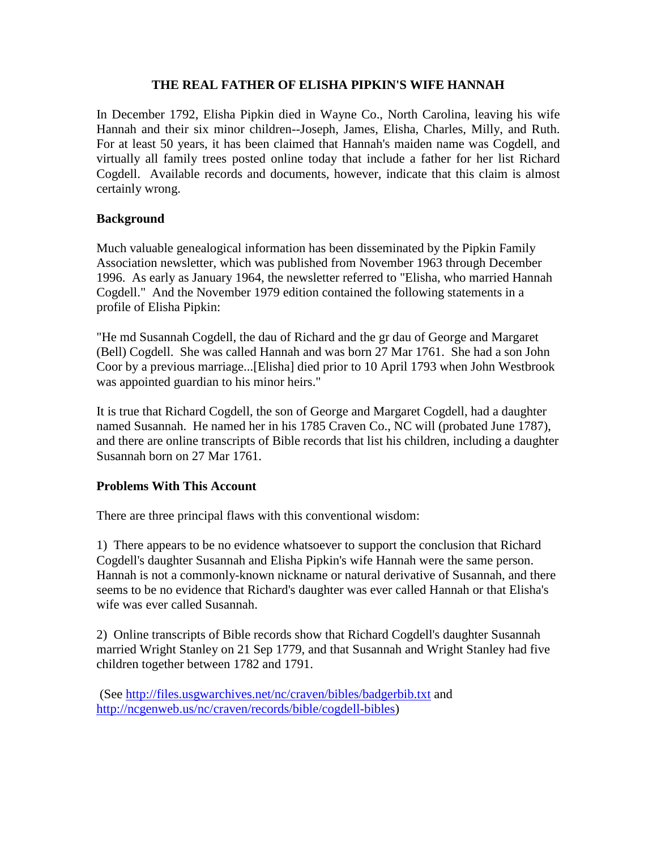### **THE REAL FATHER OF ELISHA PIPKIN'S WIFE HANNAH**

In December 1792, Elisha Pipkin died in Wayne Co., North Carolina, leaving his wife Hannah and their six minor children--Joseph, James, Elisha, Charles, Milly, and Ruth. For at least 50 years, it has been claimed that Hannah's maiden name was Cogdell, and virtually all family trees posted online today that include a father for her list Richard Cogdell. Available records and documents, however, indicate that this claim is almost certainly wrong.

# **Background**

Much valuable genealogical information has been disseminated by the Pipkin Family Association newsletter, which was published from November 1963 through December 1996. As early as January 1964, the newsletter referred to "Elisha, who married Hannah Cogdell." And the November 1979 edition contained the following statements in a profile of Elisha Pipkin:

"He md Susannah Cogdell, the dau of Richard and the gr dau of George and Margaret (Bell) Cogdell. She was called Hannah and was born 27 Mar 1761. She had a son John Coor by a previous marriage...[Elisha] died prior to 10 April 1793 when John Westbrook was appointed guardian to his minor heirs."

It is true that Richard Cogdell, the son of George and Margaret Cogdell, had a daughter named Susannah. He named her in his 1785 Craven Co., NC will (probated June 1787), and there are online transcripts of Bible records that list his children, including a daughter Susannah born on 27 Mar 1761.

### **Problems With This Account**

There are three principal flaws with this conventional wisdom:

1) There appears to be no evidence whatsoever to support the conclusion that Richard Cogdell's daughter Susannah and Elisha Pipkin's wife Hannah were the same person. Hannah is not a commonly-known nickname or natural derivative of Susannah, and there seems to be no evidence that Richard's daughter was ever called Hannah or that Elisha's wife was ever called Susannah.

2) Online transcripts of Bible records show that Richard Cogdell's daughter Susannah married Wright Stanley on 21 Sep 1779, and that Susannah and Wright Stanley had five children together between 1782 and 1791.

(See <http://files.usgwarchives.net/nc/craven/bibles/badgerbib.txt> and <http://ncgenweb.us/nc/craven/records/bible/cogdell-bibles>)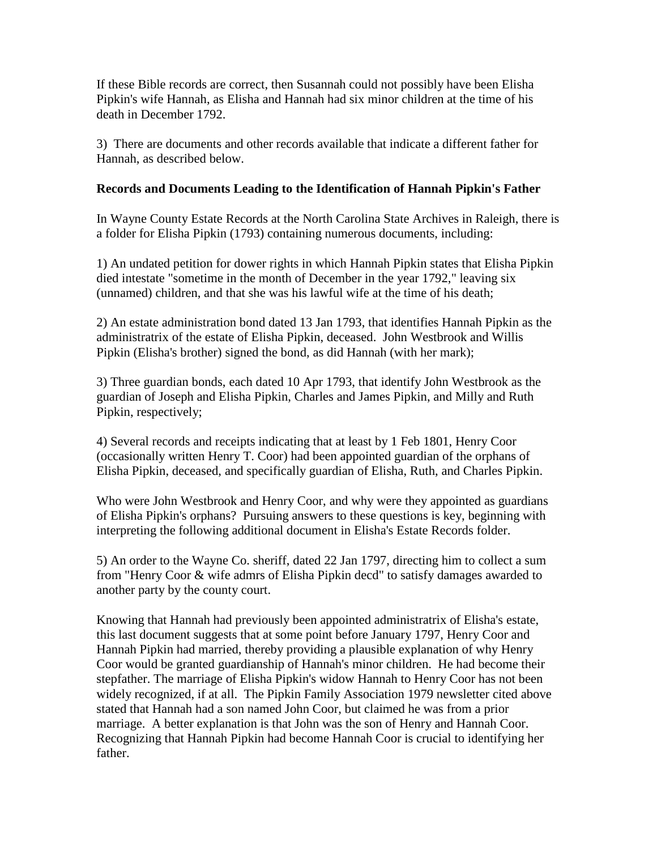If these Bible records are correct, then Susannah could not possibly have been Elisha Pipkin's wife Hannah, as Elisha and Hannah had six minor children at the time of his death in December 1792.

3) There are documents and other records available that indicate a different father for Hannah, as described below.

### **Records and Documents Leading to the Identification of Hannah Pipkin's Father**

In Wayne County Estate Records at the North Carolina State Archives in Raleigh, there is a folder for Elisha Pipkin (1793) containing numerous documents, including:

1) An undated petition for dower rights in which Hannah Pipkin states that Elisha Pipkin died intestate "sometime in the month of December in the year 1792," leaving six (unnamed) children, and that she was his lawful wife at the time of his death;

2) An estate administration bond dated 13 Jan 1793, that identifies Hannah Pipkin as the administratrix of the estate of Elisha Pipkin, deceased. John Westbrook and Willis Pipkin (Elisha's brother) signed the bond, as did Hannah (with her mark);

3) Three guardian bonds, each dated 10 Apr 1793, that identify John Westbrook as the guardian of Joseph and Elisha Pipkin, Charles and James Pipkin, and Milly and Ruth Pipkin, respectively;

4) Several records and receipts indicating that at least by 1 Feb 1801, Henry Coor (occasionally written Henry T. Coor) had been appointed guardian of the orphans of Elisha Pipkin, deceased, and specifically guardian of Elisha, Ruth, and Charles Pipkin.

Who were John Westbrook and Henry Coor, and why were they appointed as guardians of Elisha Pipkin's orphans? Pursuing answers to these questions is key, beginning with interpreting the following additional document in Elisha's Estate Records folder.

5) An order to the Wayne Co. sheriff, dated 22 Jan 1797, directing him to collect a sum from "Henry Coor & wife admrs of Elisha Pipkin decd" to satisfy damages awarded to another party by the county court.

Knowing that Hannah had previously been appointed administratrix of Elisha's estate, this last document suggests that at some point before January 1797, Henry Coor and Hannah Pipkin had married, thereby providing a plausible explanation of why Henry Coor would be granted guardianship of Hannah's minor children. He had become their stepfather. The marriage of Elisha Pipkin's widow Hannah to Henry Coor has not been widely recognized, if at all. The Pipkin Family Association 1979 newsletter cited above stated that Hannah had a son named John Coor, but claimed he was from a prior marriage. A better explanation is that John was the son of Henry and Hannah Coor. Recognizing that Hannah Pipkin had become Hannah Coor is crucial to identifying her father.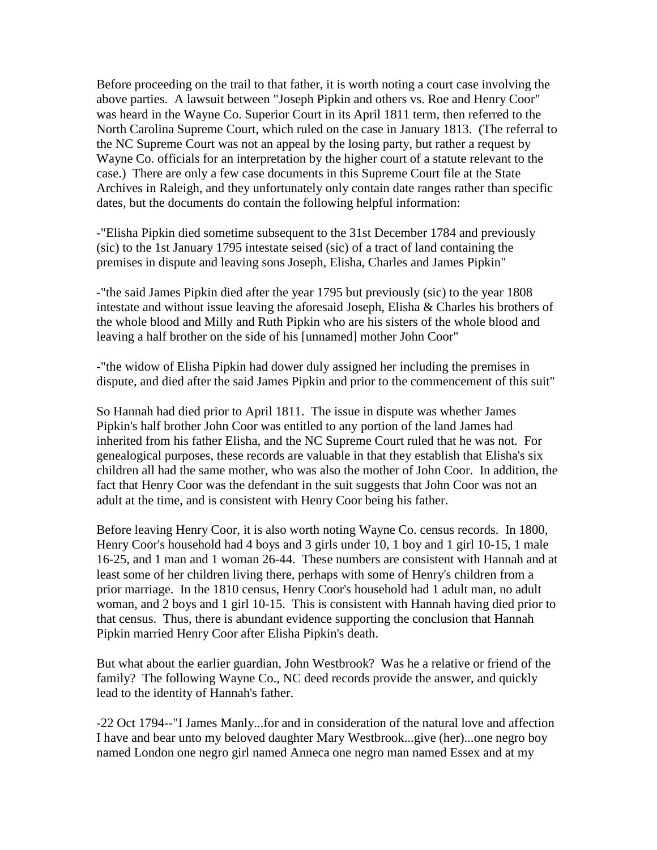Before proceeding on the trail to that father, it is worth noting a court case involving the above parties. A lawsuit between "Joseph Pipkin and others vs. Roe and Henry Coor" was heard in the Wayne Co. Superior Court in its April 1811 term, then referred to the North Carolina Supreme Court, which ruled on the case in January 1813. (The referral to the NC Supreme Court was not an appeal by the losing party, but rather a request by Wayne Co. officials for an interpretation by the higher court of a statute relevant to the case.) There are only a few case documents in this Supreme Court file at the State Archives in Raleigh, and they unfortunately only contain date ranges rather than specific dates, but the documents do contain the following helpful information:

-"Elisha Pipkin died sometime subsequent to the 31st December 1784 and previously (sic) to the 1st January 1795 intestate seised (sic) of a tract of land containing the premises in dispute and leaving sons Joseph, Elisha, Charles and James Pipkin"

-"the said James Pipkin died after the year 1795 but previously (sic) to the year 1808 intestate and without issue leaving the aforesaid Joseph, Elisha & Charles his brothers of the whole blood and Milly and Ruth Pipkin who are his sisters of the whole blood and leaving a half brother on the side of his [unnamed] mother John Coor"

-"the widow of Elisha Pipkin had dower duly assigned her including the premises in dispute, and died after the said James Pipkin and prior to the commencement of this suit"

So Hannah had died prior to April 1811. The issue in dispute was whether James Pipkin's half brother John Coor was entitled to any portion of the land James had inherited from his father Elisha, and the NC Supreme Court ruled that he was not. For genealogical purposes, these records are valuable in that they establish that Elisha's six children all had the same mother, who was also the mother of John Coor. In addition, the fact that Henry Coor was the defendant in the suit suggests that John Coor was not an adult at the time, and is consistent with Henry Coor being his father.

Before leaving Henry Coor, it is also worth noting Wayne Co. census records. In 1800, Henry Coor's household had 4 boys and 3 girls under 10, 1 boy and 1 girl 10-15, 1 male 16-25, and 1 man and 1 woman 26-44. These numbers are consistent with Hannah and at least some of her children living there, perhaps with some of Henry's children from a prior marriage. In the 1810 census, Henry Coor's household had 1 adult man, no adult woman, and 2 boys and 1 girl 10-15. This is consistent with Hannah having died prior to that census. Thus, there is abundant evidence supporting the conclusion that Hannah Pipkin married Henry Coor after Elisha Pipkin's death.

But what about the earlier guardian, John Westbrook? Was he a relative or friend of the family? The following Wayne Co., NC deed records provide the answer, and quickly lead to the identity of Hannah's father.

-22 Oct 1794--"I James Manly...for and in consideration of the natural love and affection I have and bear unto my beloved daughter Mary Westbrook...give (her)...one negro boy named London one negro girl named Anneca one negro man named Essex and at my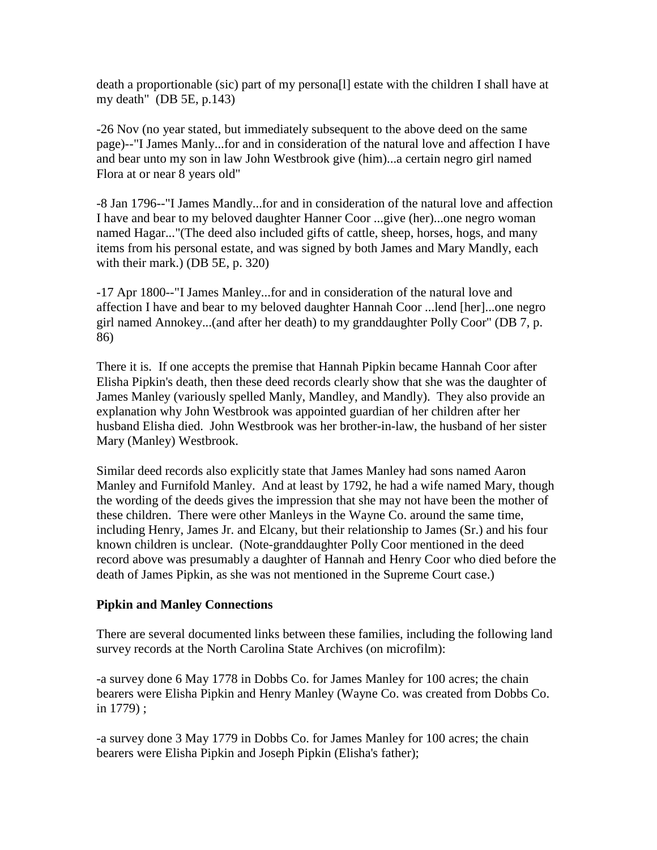death a proportionable (sic) part of my persona[l] estate with the children I shall have at my death" (DB 5E, p.143)

-26 Nov (no year stated, but immediately subsequent to the above deed on the same page)--"I James Manly...for and in consideration of the natural love and affection I have and bear unto my son in law John Westbrook give (him)...a certain negro girl named Flora at or near 8 years old"

-8 Jan 1796--"I James Mandly...for and in consideration of the natural love and affection I have and bear to my beloved daughter Hanner Coor ...give (her)...one negro woman named Hagar..."(The deed also included gifts of cattle, sheep, horses, hogs, and many items from his personal estate, and was signed by both James and Mary Mandly, each with their mark.) (DB 5E, p. 320)

-17 Apr 1800--"I James Manley...for and in consideration of the natural love and affection I have and bear to my beloved daughter Hannah Coor ...lend [her]...one negro girl named Annokey...(and after her death) to my granddaughter Polly Coor" (DB 7, p. 86)

There it is. If one accepts the premise that Hannah Pipkin became Hannah Coor after Elisha Pipkin's death, then these deed records clearly show that she was the daughter of James Manley (variously spelled Manly, Mandley, and Mandly). They also provide an explanation why John Westbrook was appointed guardian of her children after her husband Elisha died. John Westbrook was her brother-in-law, the husband of her sister Mary (Manley) Westbrook.

Similar deed records also explicitly state that James Manley had sons named Aaron Manley and Furnifold Manley. And at least by 1792, he had a wife named Mary, though the wording of the deeds gives the impression that she may not have been the mother of these children. There were other Manleys in the Wayne Co. around the same time, including Henry, James Jr. and Elcany, but their relationship to James (Sr.) and his four known children is unclear. (Note-granddaughter Polly Coor mentioned in the deed record above was presumably a daughter of Hannah and Henry Coor who died before the death of James Pipkin, as she was not mentioned in the Supreme Court case.)

### **Pipkin and Manley Connections**

There are several documented links between these families, including the following land survey records at the North Carolina State Archives (on microfilm):

-a survey done 6 May 1778 in Dobbs Co. for James Manley for 100 acres; the chain bearers were Elisha Pipkin and Henry Manley (Wayne Co. was created from Dobbs Co. in 1779) ;

-a survey done 3 May 1779 in Dobbs Co. for James Manley for 100 acres; the chain bearers were Elisha Pipkin and Joseph Pipkin (Elisha's father);